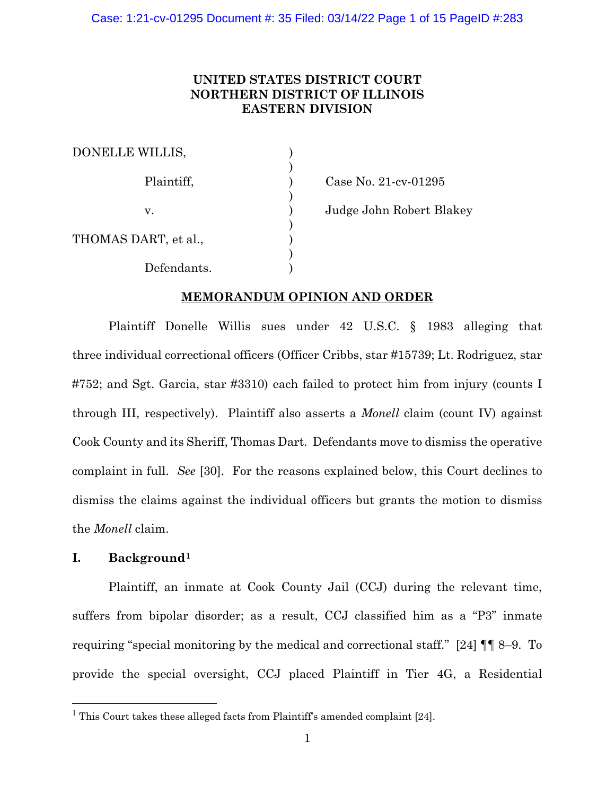# **UNITED STATES DISTRICT COURT NORTHERN DISTRICT OF ILLINOIS EASTERN DIVISION**

| <b>DONELLE WILLIS,</b> |  |
|------------------------|--|
| Plaintiff,             |  |
| V.                     |  |
| THOMAS DART, et al.,   |  |
| Defendants.            |  |

Case No. 21-cv-01295

Judge John Robert Blakey

# **MEMORANDUM OPINION AND ORDER**

Plaintiff Donelle Willis sues under 42 U.S.C. § 1983 alleging that three individual correctional officers (Officer Cribbs, star #15739; Lt. Rodriguez, star #752; and Sgt. Garcia, star #3310) each failed to protect him from injury (counts I through III, respectively). Plaintiff also asserts a *Monell* claim (count IV) against Cook County and its Sheriff, Thomas Dart. Defendants move to dismiss the operative complaint in full. *See* [30]. For the reasons explained below, this Court declines to dismiss the claims against the individual officers but grants the motion to dismiss the *Monell* claim.

# **I. Background[1](#page-0-0)**

Plaintiff, an inmate at Cook County Jail (CCJ) during the relevant time, suffers from bipolar disorder; as a result, CCJ classified him as a "P3" inmate requiring "special monitoring by the medical and correctional staff." [24] ¶¶ 8–9. To provide the special oversight, CCJ placed Plaintiff in Tier 4G, a Residential

<span id="page-0-0"></span><sup>&</sup>lt;sup>1</sup> This Court takes these alleged facts from Plaintiff's amended complaint [24].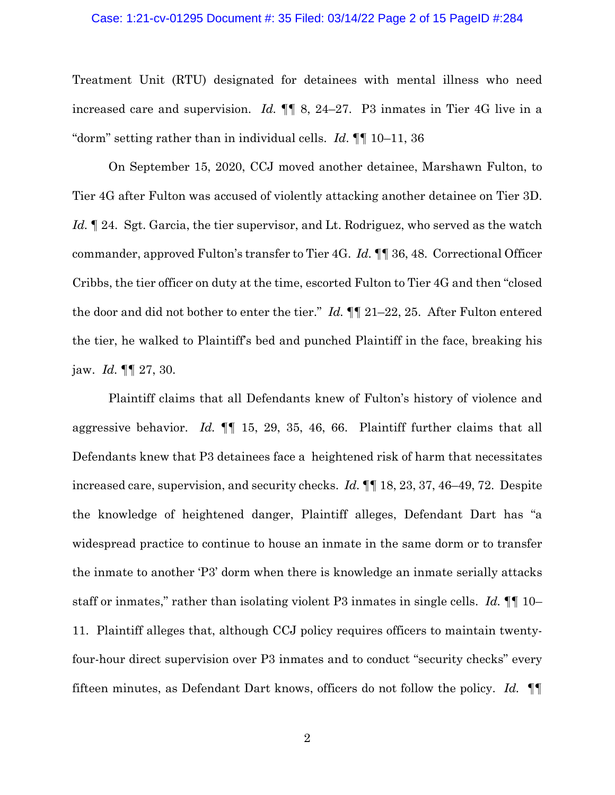#### Case: 1:21-cv-01295 Document #: 35 Filed: 03/14/22 Page 2 of 15 PageID #:284

Treatment Unit (RTU) designated for detainees with mental illness who need increased care and supervision. *Id.* ¶¶ 8, 24–27. P3 inmates in Tier 4G live in a "dorm" setting rather than in individual cells. *Id*. ¶¶ 10–11, 36

On September 15, 2020, CCJ moved another detainee, Marshawn Fulton, to Tier 4G after Fulton was accused of violently attacking another detainee on Tier 3D. *Id.* ¶ 24. Sgt. Garcia, the tier supervisor, and Lt. Rodriguez, who served as the watch commander, approved Fulton's transfer to Tier 4G. *Id.* ¶¶ 36, 48. Correctional Officer Cribbs, the tier officer on duty at the time, escorted Fulton to Tier 4G and then "closed the door and did not bother to enter the tier." *Id.* ¶¶ 21–22, 25. After Fulton entered the tier, he walked to Plaintiff's bed and punched Plaintiff in the face, breaking his jaw. *Id.* ¶¶ 27, 30.

Plaintiff claims that all Defendants knew of Fulton's history of violence and aggressive behavior. *Id.* ¶¶ 15, 29, 35, 46, 66. Plaintiff further claims that all Defendants knew that P3 detainees face a heightened risk of harm that necessitates increased care, supervision, and security checks. *Id.* ¶¶ 18, 23, 37, 46–49, 72. Despite the knowledge of heightened danger, Plaintiff alleges, Defendant Dart has "a widespread practice to continue to house an inmate in the same dorm or to transfer the inmate to another 'P3' dorm when there is knowledge an inmate serially attacks staff or inmates," rather than isolating violent P3 inmates in single cells. *Id.* ¶¶ 10– 11. Plaintiff alleges that, although CCJ policy requires officers to maintain twentyfour-hour direct supervision over P3 inmates and to conduct "security checks" every fifteen minutes, as Defendant Dart knows, officers do not follow the policy. *Id.* ¶¶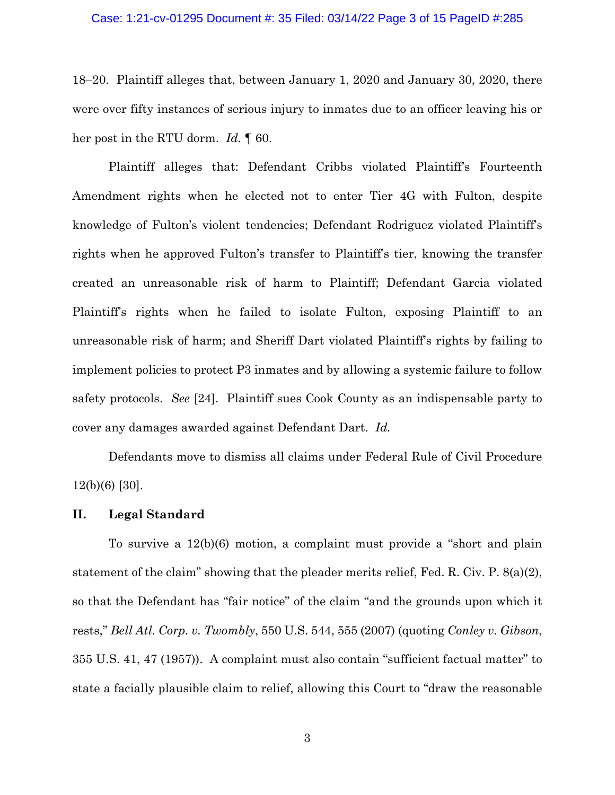#### Case: 1:21-cv-01295 Document #: 35 Filed: 03/14/22 Page 3 of 15 PageID #:285

18–20. Plaintiff alleges that, between January 1, 2020 and January 30, 2020, there were over fifty instances of serious injury to inmates due to an officer leaving his or her post in the RTU dorm. *Id.* ¶ 60.

Plaintiff alleges that: Defendant Cribbs violated Plaintiff's Fourteenth Amendment rights when he elected not to enter Tier 4G with Fulton, despite knowledge of Fulton's violent tendencies; Defendant Rodriguez violated Plaintiff's rights when he approved Fulton's transfer to Plaintiff's tier, knowing the transfer created an unreasonable risk of harm to Plaintiff; Defendant Garcia violated Plaintiff's rights when he failed to isolate Fulton, exposing Plaintiff to an unreasonable risk of harm; and Sheriff Dart violated Plaintiff's rights by failing to implement policies to protect P3 inmates and by allowing a systemic failure to follow safety protocols. *See* [24]. Plaintiff sues Cook County as an indispensable party to cover any damages awarded against Defendant Dart. *Id.*

Defendants move to dismiss all claims under Federal Rule of Civil Procedure 12(b)(6) [30].

## **II. Legal Standard**

To survive a 12(b)(6) motion, a complaint must provide a "short and plain statement of the claim" showing that the pleader merits relief, Fed. R. Civ. P. 8(a)(2), so that the Defendant has "fair notice" of the claim "and the grounds upon which it rests," *Bell Atl. Corp. v. Twombly*, 550 U.S. 544, 555 (2007) (quoting *Conley v. Gibson*, 355 U.S. 41, 47 (1957)). A complaint must also contain "sufficient factual matter" to state a facially plausible claim to relief, allowing this Court to "draw the reasonable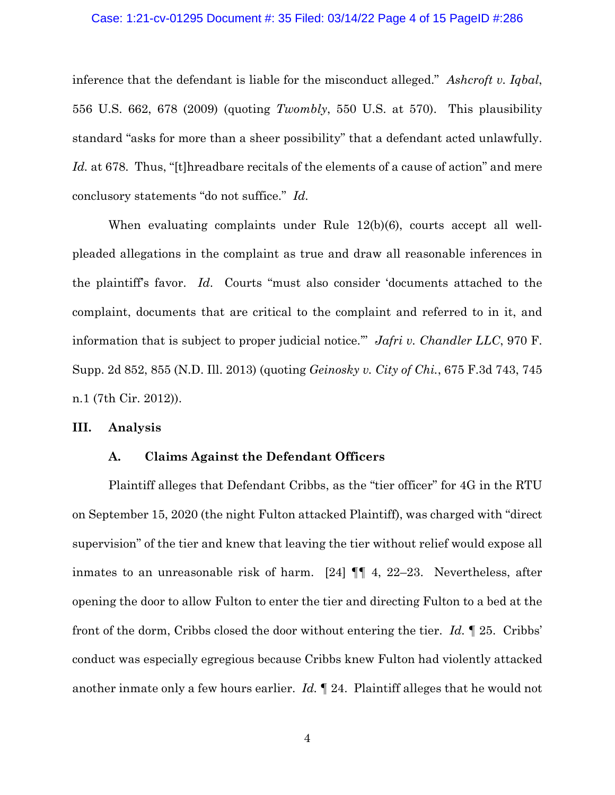#### Case: 1:21-cv-01295 Document #: 35 Filed: 03/14/22 Page 4 of 15 PageID #:286

inference that the defendant is liable for the misconduct alleged." *Ashcroft v. Iqbal*, 556 U.S. 662, 678 (2009) (quoting *Twombly*, 550 U.S. at 570). This plausibility standard "asks for more than a sheer possibility" that a defendant acted unlawfully. Id. at 678. Thus, "[t]hreadbare recitals of the elements of a cause of action" and mere conclusory statements "do not suffice." *Id.*

When evaluating complaints under Rule 12(b)(6), courts accept all wellpleaded allegations in the complaint as true and draw all reasonable inferences in the plaintiff's favor. *Id*. Courts "must also consider 'documents attached to the complaint, documents that are critical to the complaint and referred to in it, and information that is subject to proper judicial notice.'" *Jafri v. Chandler LLC*, 970 F. Supp. 2d 852, 855 (N.D. Ill. 2013) (quoting *Geinosky v. City of Chi.*, 675 F.3d 743, 745 n.1 (7th Cir. 2012)).

### **III. Analysis**

## **A. Claims Against the Defendant Officers**

Plaintiff alleges that Defendant Cribbs, as the "tier officer" for 4G in the RTU on September 15, 2020 (the night Fulton attacked Plaintiff), was charged with "direct supervision" of the tier and knew that leaving the tier without relief would expose all inmates to an unreasonable risk of harm. [24] ¶¶ 4, 22–23. Nevertheless, after opening the door to allow Fulton to enter the tier and directing Fulton to a bed at the front of the dorm, Cribbs closed the door without entering the tier. *Id.* ¶ 25. Cribbs' conduct was especially egregious because Cribbs knew Fulton had violently attacked another inmate only a few hours earlier. *Id.* ¶ 24. Plaintiff alleges that he would not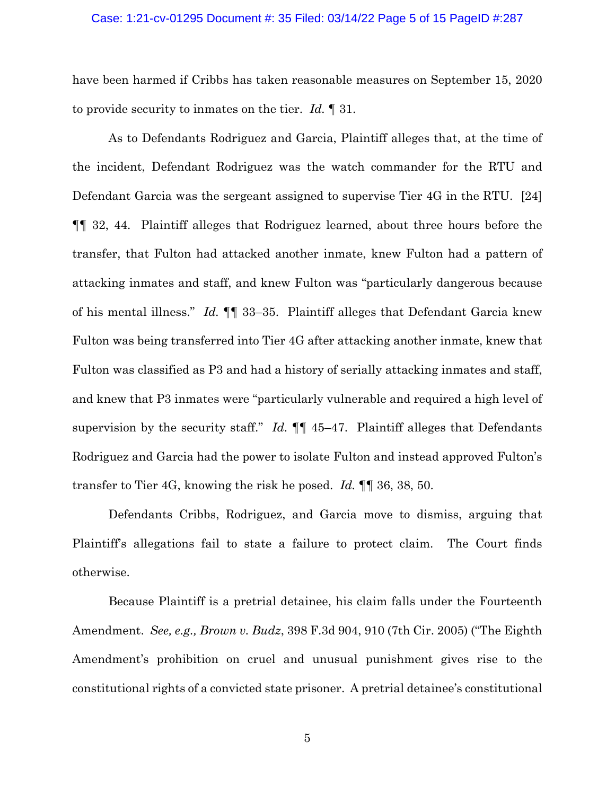#### Case: 1:21-cv-01295 Document #: 35 Filed: 03/14/22 Page 5 of 15 PageID #:287

have been harmed if Cribbs has taken reasonable measures on September 15, 2020 to provide security to inmates on the tier. *Id.* ¶ 31.

As to Defendants Rodriguez and Garcia, Plaintiff alleges that, at the time of the incident, Defendant Rodriguez was the watch commander for the RTU and Defendant Garcia was the sergeant assigned to supervise Tier 4G in the RTU. [24] ¶¶ 32, 44. Plaintiff alleges that Rodriguez learned, about three hours before the transfer, that Fulton had attacked another inmate, knew Fulton had a pattern of attacking inmates and staff, and knew Fulton was "particularly dangerous because of his mental illness." *Id.* ¶¶ 33–35. Plaintiff alleges that Defendant Garcia knew Fulton was being transferred into Tier 4G after attacking another inmate, knew that Fulton was classified as P3 and had a history of serially attacking inmates and staff, and knew that P3 inmates were "particularly vulnerable and required a high level of supervision by the security staff." *Id.* ¶¶ 45–47. Plaintiff alleges that Defendants Rodriguez and Garcia had the power to isolate Fulton and instead approved Fulton's transfer to Tier 4G, knowing the risk he posed. *Id.* ¶¶ 36, 38, 50.

Defendants Cribbs, Rodriguez, and Garcia move to dismiss, arguing that Plaintiff's allegations fail to state a failure to protect claim. The Court finds otherwise.

Because Plaintiff is a pretrial detainee, his claim falls under the Fourteenth Amendment. *See, e.g., Brown v. Budz*, 398 F.3d 904, 910 (7th Cir. 2005) ("The Eighth Amendment's prohibition on cruel and unusual punishment gives rise to the constitutional rights of a convicted state prisoner. A pretrial detainee's constitutional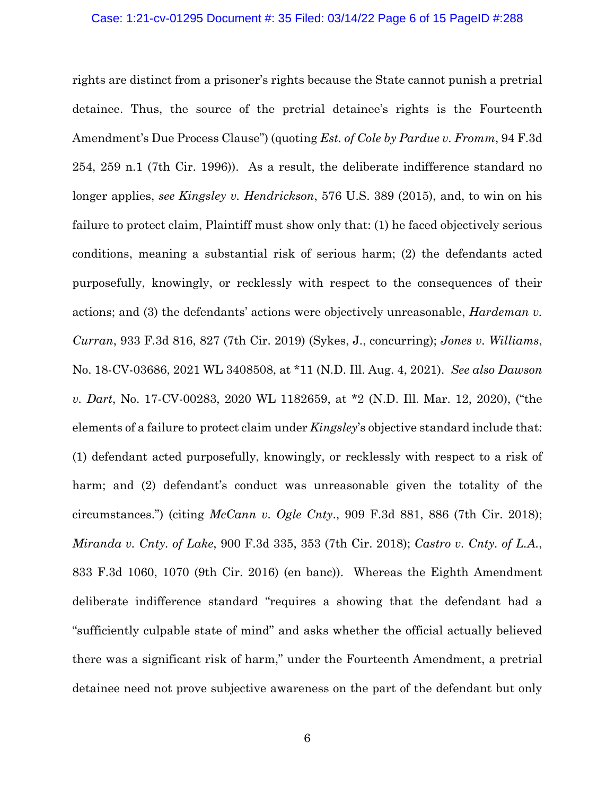#### Case: 1:21-cv-01295 Document #: 35 Filed: 03/14/22 Page 6 of 15 PageID #:288

rights are distinct from a prisoner's rights because the State cannot punish a pretrial detainee. Thus, the source of the pretrial detainee's rights is the Fourteenth Amendment's Due Process Clause") (quoting *Est. of Cole by Pardue v. Fromm*, 94 F.3d 254, 259 n.1 (7th Cir. 1996)). As a result, the deliberate indifference standard no longer applies, *see Kingsley v. Hendrickson*, 576 U.S. 389 (2015), and, to win on his failure to protect claim, Plaintiff must show only that: (1) he faced objectively serious conditions, meaning a substantial risk of serious harm; (2) the defendants acted purposefully, knowingly, or recklessly with respect to the consequences of their actions; and (3) the defendants' actions were objectively unreasonable, *Hardeman v. Curran*, 933 F.3d 816, 827 (7th Cir. 2019) (Sykes, J., concurring); *Jones v. Williams*, No. 18-CV-03686, 2021 WL 3408508, at \*11 (N.D. Ill. Aug. 4, 2021). *See also Dawson v. Dart*, No. 17-CV-00283, 2020 WL 1182659, at \*2 (N.D. Ill. Mar. 12, 2020), ("the elements of a failure to protect claim under *Kingsley*'s objective standard include that: (1) defendant acted purposefully, knowingly, or recklessly with respect to a risk of harm; and (2) defendant's conduct was unreasonable given the totality of the circumstances.") (citing *McCann v. Ogle Cnty*., 909 F.3d 881, 886 (7th Cir. 2018); *Miranda v. Cnty. of Lake*, 900 F.3d 335, 353 (7th Cir. 2018); *Castro v. Cnty. of L.A.*, 833 F.3d 1060, 1070 (9th Cir. 2016) (en banc)). Whereas the Eighth Amendment deliberate indifference standard "requires a showing that the defendant had a "sufficiently culpable state of mind" and asks whether the official actually believed there was a significant risk of harm," under the Fourteenth Amendment, a pretrial detainee need not prove subjective awareness on the part of the defendant but only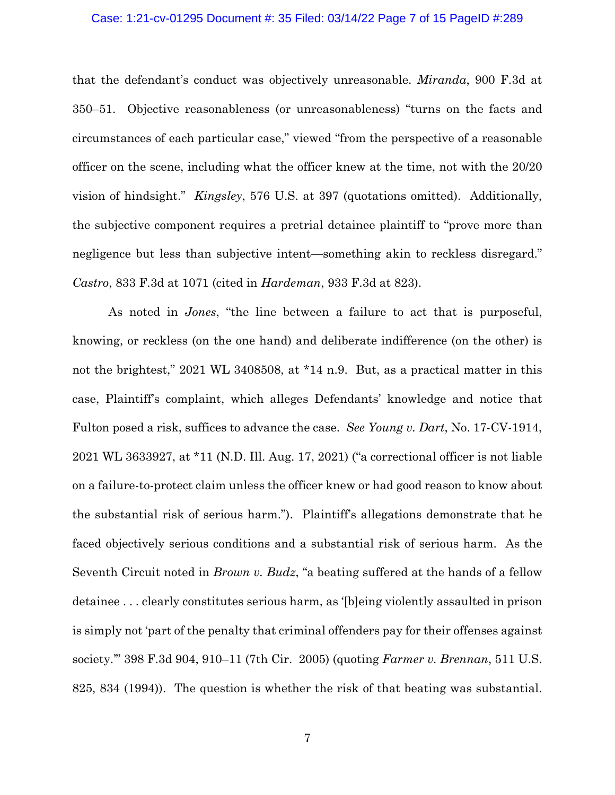#### Case: 1:21-cv-01295 Document #: 35 Filed: 03/14/22 Page 7 of 15 PageID #:289

that the defendant's conduct was objectively unreasonable. *Miranda*, 900 F.3d at 350–51. Objective reasonableness (or unreasonableness) "turns on the facts and circumstances of each particular case," viewed "from the perspective of a reasonable officer on the scene, including what the officer knew at the time, not with the 20/20 vision of hindsight." *Kingsley*, 576 U.S. at 397 (quotations omitted). Additionally, the subjective component requires a pretrial detainee plaintiff to "prove more than negligence but less than subjective intent—something akin to reckless disregard." *Castro*, 833 F.3d at 1071 (cited in *Hardeman*, 933 F.3d at 823).

As noted in *Jones*, "the line between a failure to act that is purposeful, knowing, or reckless (on the one hand) and deliberate indifference (on the other) is not the brightest," 2021 WL 3408508, at \*14 n.9. But, as a practical matter in this case, Plaintiff's complaint, which alleges Defendants' knowledge and notice that Fulton posed a risk, suffices to advance the case. *See Young v. Dart*, No. 17-CV-1914, 2021 WL 3633927, at \*11 (N.D. Ill. Aug. 17, 2021) ("a correctional officer is not liable on a failure-to-protect claim unless the officer knew or had good reason to know about the substantial risk of serious harm."). Plaintiff's allegations demonstrate that he faced objectively serious conditions and a substantial risk of serious harm. As the Seventh Circuit noted in *Brown v. Budz*, "a beating suffered at the hands of a fellow detainee . . . clearly constitutes serious harm, as '[b]eing violently assaulted in prison is simply not 'part of the penalty that criminal offenders pay for their offenses against society.'" 398 F.3d 904, 910–11 (7th Cir. 2005) (quoting *Farmer v. Brennan*, 511 U.S. 825, 834 (1994)). The question is whether the risk of that beating was substantial.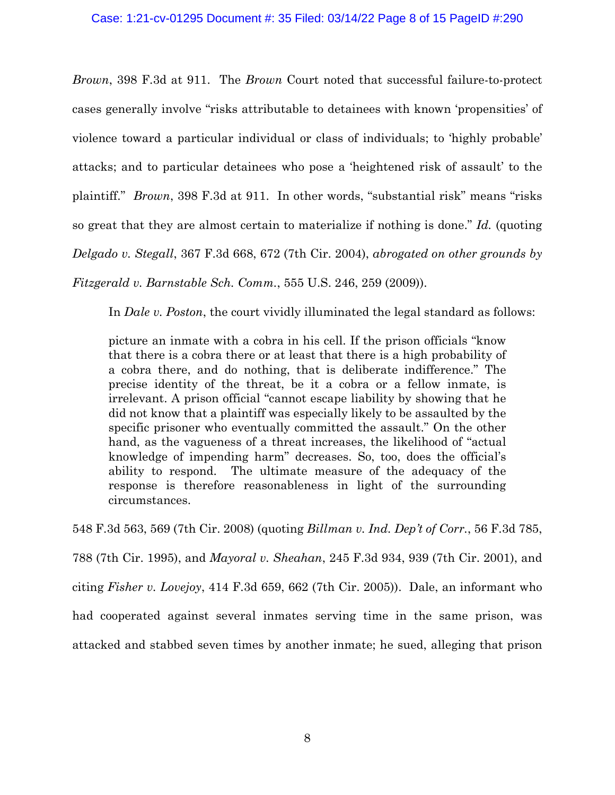### Case: 1:21-cv-01295 Document #: 35 Filed: 03/14/22 Page 8 of 15 PageID #:290

*Brown*, 398 F.3d at 911. The *Brown* Court noted that successful failure-to-protect cases generally involve "risks attributable to detainees with known 'propensities' of violence toward a particular individual or class of individuals; to 'highly probable' attacks; and to particular detainees who pose a 'heightened risk of assault' to the plaintiff." *Brown*, 398 F.3d at 911. In other words, "substantial risk" means "risks so great that they are almost certain to materialize if nothing is done." *Id.* (quoting *Delgado v. Stegall*, 367 F.3d 668, 672 (7th Cir. 2004), *abrogated on other grounds by Fitzgerald v. Barnstable Sch. Comm.*, 555 U.S. 246, 259 (2009)).

In *Dale v. Poston*, the court vividly illuminated the legal standard as follows:

picture an inmate with a cobra in his cell. If the prison officials "know that there is a cobra there or at least that there is a high probability of a cobra there, and do nothing, that is deliberate indifference." The precise identity of the threat, be it a cobra or a fellow inmate, is irrelevant. A prison official "cannot escape liability by showing that he did not know that a plaintiff was especially likely to be assaulted by the specific prisoner who eventually committed the assault." On the other hand, as the vagueness of a threat increases, the likelihood of "actual knowledge of impending harm" decreases. So, too, does the official's ability to respond. The ultimate measure of the adequacy of the response is therefore reasonableness in light of the surrounding circumstances.

548 F.3d 563, 569 (7th Cir. 2008) (quoting *Billman v. Ind. Dep't of Corr.*, 56 F.3d 785,

788 (7th Cir. 1995), and *Mayoral v. Sheahan*, 245 F.3d 934, 939 (7th Cir. 2001), and

citing *Fisher v. Lovejoy*, 414 F.3d 659, 662 (7th Cir. 2005)). Dale, an informant who

had cooperated against several inmates serving time in the same prison, was

attacked and stabbed seven times by another inmate; he sued, alleging that prison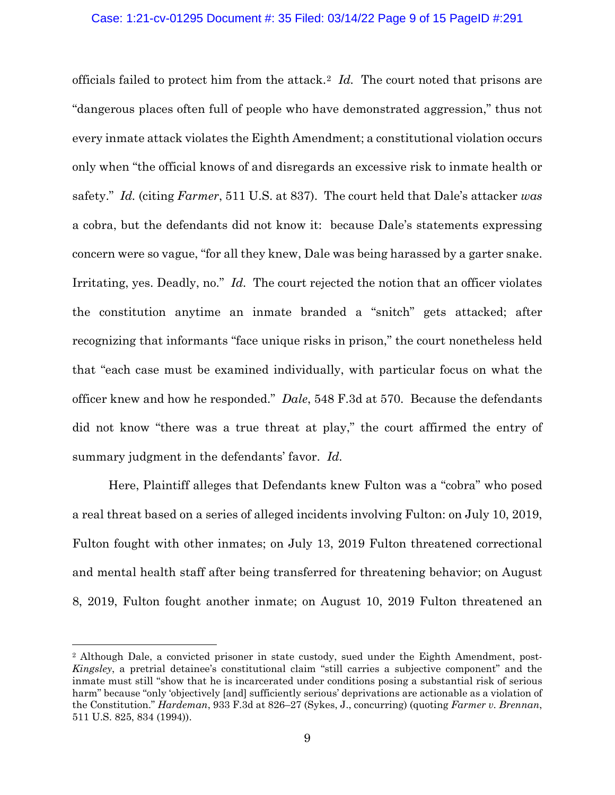## Case: 1:21-cv-01295 Document #: 35 Filed: 03/14/22 Page 9 of 15 PageID #:291

officials failed to protect him from the attack.[2](#page-8-0) *Id.* The court noted that prisons are "dangerous places often full of people who have demonstrated aggression," thus not every inmate attack violates the Eighth Amendment; a constitutional violation occurs only when "the official knows of and disregards an excessive risk to inmate health or safety." *Id.* (citing *Farmer*, 511 U.S. at 837). The court held that Dale's attacker *was* a cobra, but the defendants did not know it: because Dale's statements expressing concern were so vague, "for all they knew, Dale was being harassed by a garter snake. Irritating, yes. Deadly, no." *Id.* The court rejected the notion that an officer violates the constitution anytime an inmate branded a "snitch" gets attacked; after recognizing that informants "face unique risks in prison," the court nonetheless held that "each case must be examined individually, with particular focus on what the officer knew and how he responded." *Dale*, 548 F.3d at 570. Because the defendants did not know "there was a true threat at play," the court affirmed the entry of summary judgment in the defendants' favor. *Id.*

Here, Plaintiff alleges that Defendants knew Fulton was a "cobra" who posed a real threat based on a series of alleged incidents involving Fulton: on July 10, 2019, Fulton fought with other inmates; on July 13, 2019 Fulton threatened correctional and mental health staff after being transferred for threatening behavior; on August 8, 2019, Fulton fought another inmate; on August 10, 2019 Fulton threatened an

<span id="page-8-0"></span><sup>&</sup>lt;sup>2</sup> Although Dale, a convicted prisoner in state custody, sued under the Eighth Amendment, post-*Kingsley*, a pretrial detainee's constitutional claim "still carries a subjective component" and the inmate must still "show that he is incarcerated under conditions posing a substantial risk of serious harm" because "only 'objectively [and] sufficiently serious' deprivations are actionable as a violation of the Constitution." *Hardeman*, 933 F.3d at 826–27 (Sykes, J., concurring) (quoting *Farmer v. Brennan*, 511 U.S. 825, 834 (1994)).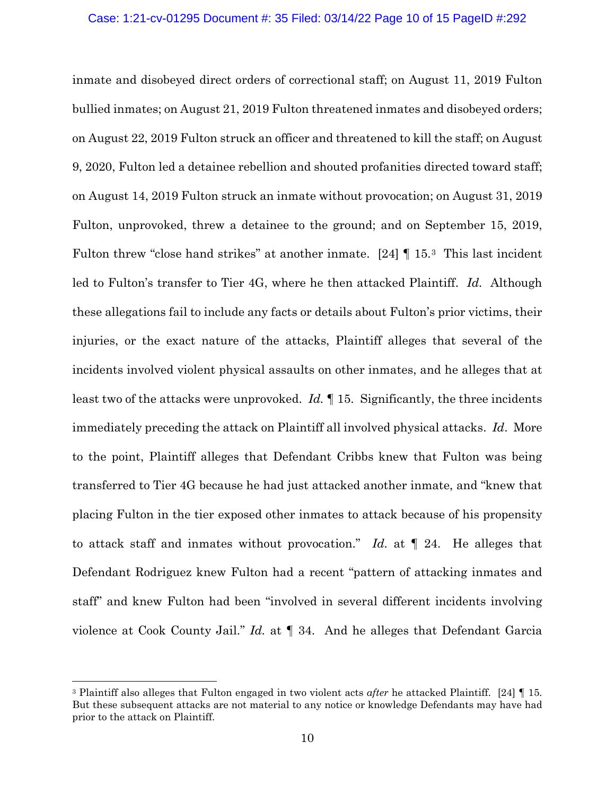#### Case: 1:21-cv-01295 Document #: 35 Filed: 03/14/22 Page 10 of 15 PageID #:292

inmate and disobeyed direct orders of correctional staff; on August 11, 2019 Fulton bullied inmates; on August 21, 2019 Fulton threatened inmates and disobeyed orders; on August 22, 2019 Fulton struck an officer and threatened to kill the staff; on August 9, 2020, Fulton led a detainee rebellion and shouted profanities directed toward staff; on August 14, 2019 Fulton struck an inmate without provocation; on August 31, 2019 Fulton, unprovoked, threw a detainee to the ground; and on September 15, 2019, Fulton threw "close hand strikes" at another inmate. [24] ¶ 15.[3](#page-9-0) This last incident led to Fulton's transfer to Tier 4G, where he then attacked Plaintiff. *Id.* Although these allegations fail to include any facts or details about Fulton's prior victims, their injuries, or the exact nature of the attacks, Plaintiff alleges that several of the incidents involved violent physical assaults on other inmates, and he alleges that at least two of the attacks were unprovoked. *Id.* ¶ 15. Significantly, the three incidents immediately preceding the attack on Plaintiff all involved physical attacks. *Id*. More to the point, Plaintiff alleges that Defendant Cribbs knew that Fulton was being transferred to Tier 4G because he had just attacked another inmate, and "knew that placing Fulton in the tier exposed other inmates to attack because of his propensity to attack staff and inmates without provocation." *Id.* at ¶ 24. He alleges that Defendant Rodriguez knew Fulton had a recent "pattern of attacking inmates and staff" and knew Fulton had been "involved in several different incidents involving violence at Cook County Jail." *Id.* at ¶ 34. And he alleges that Defendant Garcia

<span id="page-9-0"></span><sup>3</sup> Plaintiff also alleges that Fulton engaged in two violent acts *after* he attacked Plaintiff. [24] ¶ 15*.* But these subsequent attacks are not material to any notice or knowledge Defendants may have had prior to the attack on Plaintiff.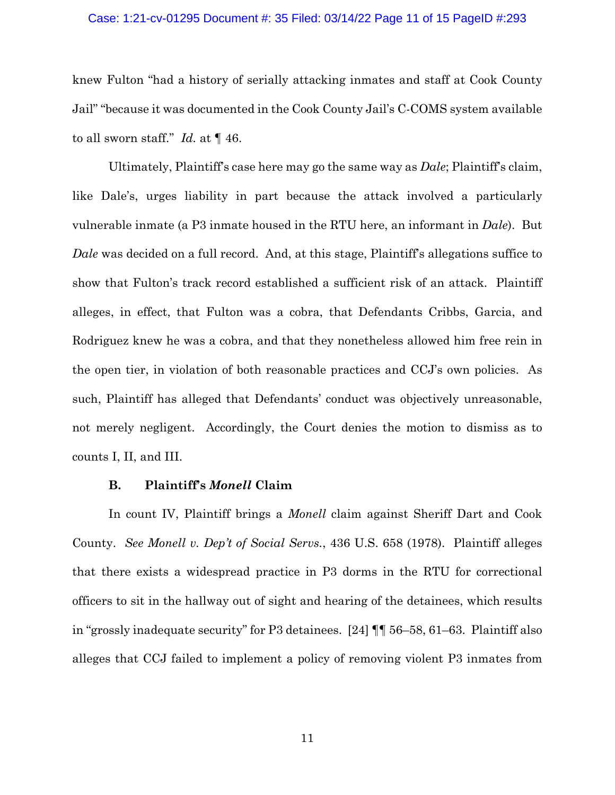#### Case: 1:21-cv-01295 Document #: 35 Filed: 03/14/22 Page 11 of 15 PageID #:293

knew Fulton "had a history of serially attacking inmates and staff at Cook County Jail" "because it was documented in the Cook County Jail's C-COMS system available to all sworn staff." *Id.* at ¶ 46.

Ultimately, Plaintiff's case here may go the same way as *Dale*; Plaintiff's claim, like Dale's, urges liability in part because the attack involved a particularly vulnerable inmate (a P3 inmate housed in the RTU here, an informant in *Dale*). But *Dale* was decided on a full record. And, at this stage, Plaintiff's allegations suffice to show that Fulton's track record established a sufficient risk of an attack. Plaintiff alleges, in effect, that Fulton was a cobra, that Defendants Cribbs, Garcia, and Rodriguez knew he was a cobra, and that they nonetheless allowed him free rein in the open tier, in violation of both reasonable practices and CCJ's own policies. As such, Plaintiff has alleged that Defendants' conduct was objectively unreasonable, not merely negligent. Accordingly, the Court denies the motion to dismiss as to counts I, II, and III.

## **B. Plaintiff's** *Monell* **Claim**

In count IV, Plaintiff brings a *Monell* claim against Sheriff Dart and Cook County. *See Monell v. Dep't of Social Servs.*, 436 U.S. 658 (1978). Plaintiff alleges that there exists a widespread practice in P3 dorms in the RTU for correctional officers to sit in the hallway out of sight and hearing of the detainees, which results in "grossly inadequate security" for P3 detainees. [24] ¶¶ 56–58, 61–63. Plaintiff also alleges that CCJ failed to implement a policy of removing violent P3 inmates from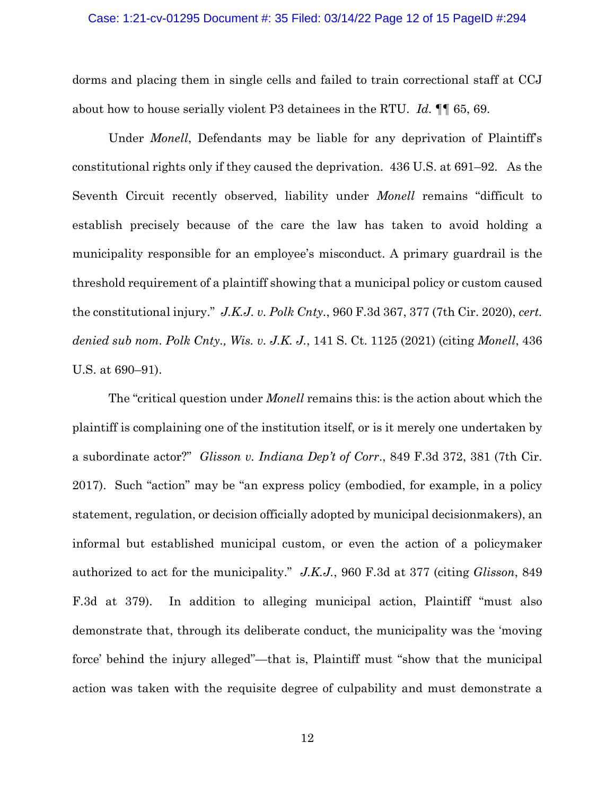#### Case: 1:21-cv-01295 Document #: 35 Filed: 03/14/22 Page 12 of 15 PageID #:294

dorms and placing them in single cells and failed to train correctional staff at CCJ about how to house serially violent P3 detainees in the RTU. *Id.* ¶¶ 65, 69.

Under *Monell*, Defendants may be liable for any deprivation of Plaintiff's constitutional rights only if they caused the deprivation. 436 U.S. at 691–92. As the Seventh Circuit recently observed, liability under *Monell* remains "difficult to establish precisely because of the care the law has taken to avoid holding a municipality responsible for an employee's misconduct. A primary guardrail is the threshold requirement of a plaintiff showing that a municipal policy or custom caused the constitutional injury." *J.K.J. v. Polk Cnty.*, 960 F.3d 367, 377 (7th Cir. 2020), *cert. denied sub nom. Polk Cnty., Wis. v. J.K. J.*, 141 S. Ct. 1125 (2021) (citing *Monell*, 436 U.S. at 690–91).

The "critical question under *Monell* remains this: is the action about which the plaintiff is complaining one of the institution itself, or is it merely one undertaken by a subordinate actor?" *Glisson v. Indiana Dep't of Corr*., 849 F.3d 372, 381 (7th Cir. 2017). Such "action" may be "an express policy (embodied, for example, in a policy statement, regulation, or decision officially adopted by municipal decisionmakers), an informal but established municipal custom, or even the action of a policymaker authorized to act for the municipality." *J.K.J.*, 960 F.3d at 377 (citing *Glisson*, 849 F.3d at 379). In addition to alleging municipal action, Plaintiff "must also demonstrate that, through its deliberate conduct, the municipality was the 'moving force' behind the injury alleged"—that is, Plaintiff must "show that the municipal action was taken with the requisite degree of culpability and must demonstrate a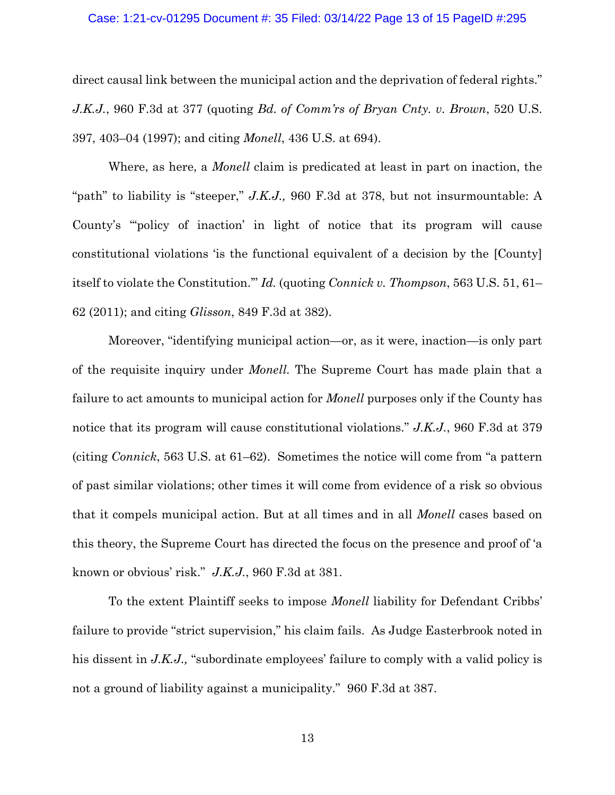#### Case: 1:21-cv-01295 Document #: 35 Filed: 03/14/22 Page 13 of 15 PageID #:295

direct causal link between the municipal action and the deprivation of federal rights." *J.K.J.*, 960 F.3d at 377 (quoting *Bd. of Comm'rs of Bryan Cnty. v. Brown*, 520 U.S. 397, 403–04 (1997); and citing *Monell*, 436 U.S. at 694).

Where, as here, a *Monell* claim is predicated at least in part on inaction, the "path" to liability is "steeper," *J.K.J.,* 960 F.3d at 378, but not insurmountable: A County's "'policy of inaction' in light of notice that its program will cause constitutional violations 'is the functional equivalent of a decision by the [County] itself to violate the Constitution.'" *Id.* (quoting *Connick v. Thompson*, 563 U.S. 51, 61– 62 (2011); and citing *Glisson*, 849 F.3d at 382).

Moreover, "identifying municipal action—or, as it were, inaction—is only part of the requisite inquiry under *Monell.* The Supreme Court has made plain that a failure to act amounts to municipal action for *Monell* purposes only if the County has notice that its program will cause constitutional violations." *J.K.J.*, 960 F.3d at 379 (citing *Connick*, 563 U.S. at 61–62). Sometimes the notice will come from "a pattern of past similar violations; other times it will come from evidence of a risk so obvious that it compels municipal action. But at all times and in all *Monell* cases based on this theory, the Supreme Court has directed the focus on the presence and proof of 'a known or obvious' risk." *J.K.J.*, 960 F.3d at 381.

To the extent Plaintiff seeks to impose *Monell* liability for Defendant Cribbs' failure to provide "strict supervision," his claim fails. As Judge Easterbrook noted in his dissent in *J.K.J.*, "subordinate employees' failure to comply with a valid policy is not a ground of liability against a municipality." 960 F.3d at 387.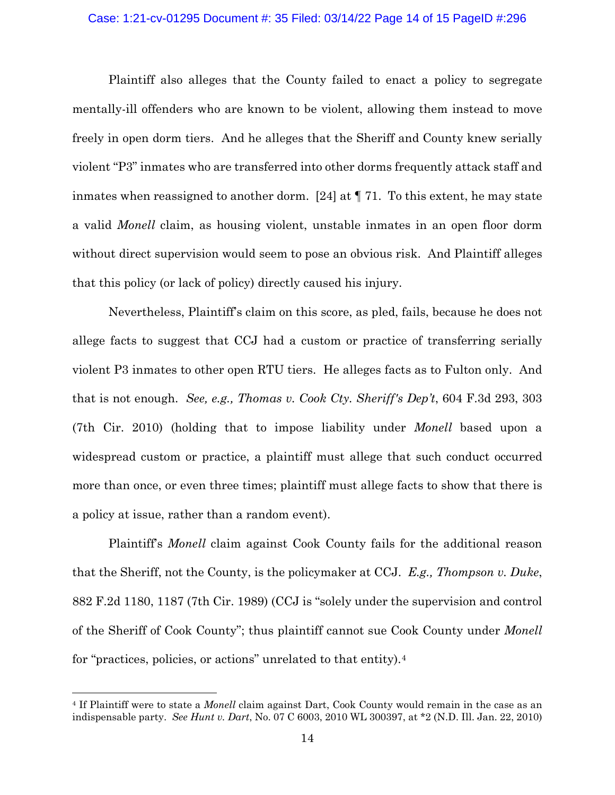## Case: 1:21-cv-01295 Document #: 35 Filed: 03/14/22 Page 14 of 15 PageID #:296

Plaintiff also alleges that the County failed to enact a policy to segregate mentally-ill offenders who are known to be violent, allowing them instead to move freely in open dorm tiers. And he alleges that the Sheriff and County knew serially violent "P3" inmates who are transferred into other dorms frequently attack staff and inmates when reassigned to another dorm. [24] at ¶ 71. To this extent, he may state a valid *Monell* claim, as housing violent, unstable inmates in an open floor dorm without direct supervision would seem to pose an obvious risk. And Plaintiff alleges that this policy (or lack of policy) directly caused his injury.

Nevertheless, Plaintiff's claim on this score, as pled, fails, because he does not allege facts to suggest that CCJ had a custom or practice of transferring serially violent P3 inmates to other open RTU tiers. He alleges facts as to Fulton only. And that is not enough. *See, e.g., Thomas v. Cook Cty. Sheriff's Dep't*, 604 F.3d 293, 303 (7th Cir. 2010) (holding that to impose liability under *Monell* based upon a widespread custom or practice, a plaintiff must allege that such conduct occurred more than once, or even three times; plaintiff must allege facts to show that there is a policy at issue, rather than a random event).

Plaintiff's *Monell* claim against Cook County fails for the additional reason that the Sheriff, not the County, is the policymaker at CCJ. *E.g., Thompson v. Duke*, 882 F.2d 1180, 1187 (7th Cir. 1989) (CCJ is "solely under the supervision and control of the Sheriff of Cook County"; thus plaintiff cannot sue Cook County under *Monell* for "practices, policies, or actions" unrelated to that entity).[4](#page-13-0)

<span id="page-13-0"></span><sup>4</sup> If Plaintiff were to state a *Monell* claim against Dart, Cook County would remain in the case as an indispensable party. *See Hunt v. Dart*, No. 07 C 6003, 2010 WL 300397, at \*2 (N.D. Ill. Jan. 22, 2010)